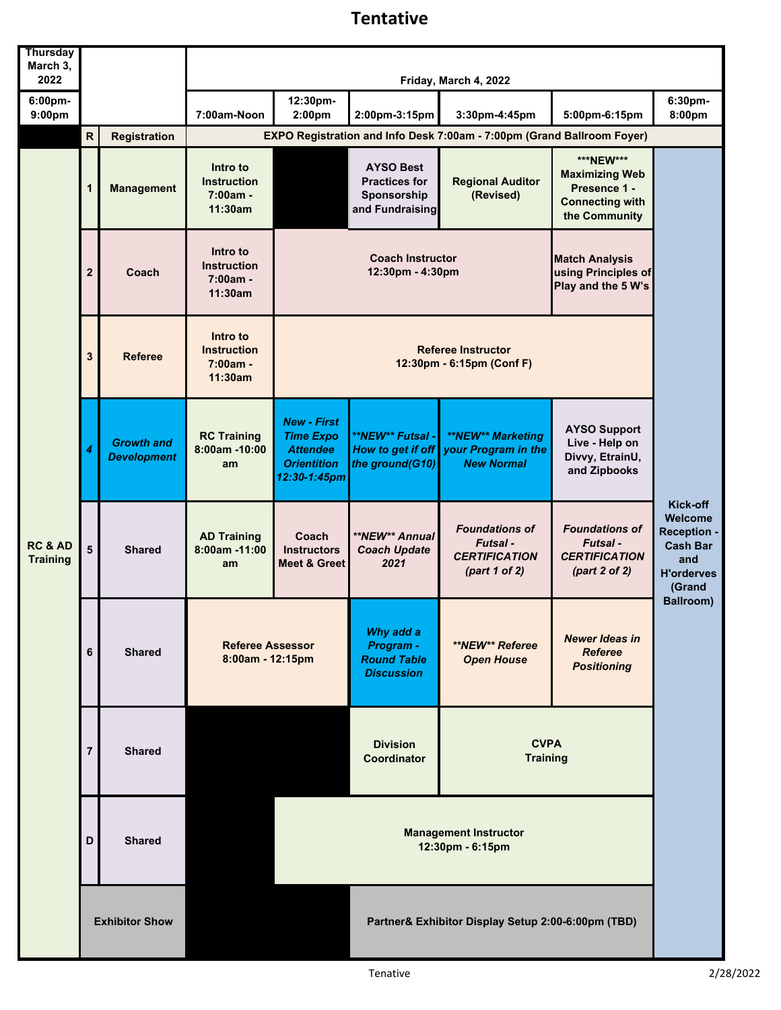## **Tentative**

| <b>Thursday</b><br>March 3,<br>2022   |                         |                                                                | Friday, March 4, 2022                                   |                                                                                                 |                                                                            |                                                                                 |                                                                                               |                                                                                             |  |
|---------------------------------------|-------------------------|----------------------------------------------------------------|---------------------------------------------------------|-------------------------------------------------------------------------------------------------|----------------------------------------------------------------------------|---------------------------------------------------------------------------------|-----------------------------------------------------------------------------------------------|---------------------------------------------------------------------------------------------|--|
| 6:00pm-<br>9:00pm                     |                         |                                                                | 7:00am-Noon                                             | 12:30pm-<br>2:00pm                                                                              | 2:00pm-3:15pm                                                              | 3:30pm-4:45pm                                                                   | 5:00pm-6:15pm                                                                                 | 6:30pm-<br>8:00pm                                                                           |  |
|                                       | $\overline{\mathsf{R}}$ | <b>Registration</b>                                            |                                                         |                                                                                                 |                                                                            | EXPO Registration and Info Desk 7:00am - 7:00pm (Grand Ballroom Foyer)          |                                                                                               |                                                                                             |  |
| <b>RC &amp; AD</b><br><b>Training</b> | 1                       | <b>Management</b>                                              | Intro to<br><b>Instruction</b><br>$7:00am -$<br>11:30am |                                                                                                 | <b>AYSO Best</b><br><b>Practices for</b><br>Sponsorship<br>and Fundraising | <b>Regional Auditor</b><br>(Revised)                                            | ***NEW***<br><b>Maximizing Web</b><br>Presence 1 -<br><b>Connecting with</b><br>the Community |                                                                                             |  |
|                                       | $\mathbf{2}$            | Intro to<br><b>Instruction</b><br>Coach<br>7:00am -<br>11:30am |                                                         | <b>Coach Instructor</b><br>12:30pm - 4:30pm                                                     |                                                                            |                                                                                 | <b>Match Analysis</b><br>using Principles of<br>Play and the 5 W's                            |                                                                                             |  |
|                                       | 3                       | <b>Referee</b>                                                 | Intro to<br><b>Instruction</b><br>$7:00am -$<br>11:30am | <b>Referee Instructor</b><br>12:30pm - 6:15pm (Conf F)                                          |                                                                            |                                                                                 |                                                                                               |                                                                                             |  |
|                                       | 4                       | <b>Growth and</b><br><b>Development</b>                        | <b>RC Training</b><br>8:00am -10:00<br>am               | <b>New - First</b><br><b>Time Expo</b><br><b>Attendee</b><br><b>Orientition</b><br>12:30-1:45pm | **NEW** Futsal -<br>How to get if off<br>the ground(G10)                   | **NEW** Marketing<br>your Program in the<br><b>New Normal</b>                   | <b>AYSO Support</b><br>Live - Help on<br>Divvy, EtrainU,<br>and Zipbooks                      |                                                                                             |  |
|                                       | 5                       | <b>Shared</b>                                                  | <b>AD Training</b><br>$8:00am - 11:00$<br>am            | Coach<br><b>Instructors</b><br>Meet & Greet                                                     | **NEW** Annual<br><b>Coach Update</b><br>2021                              | <b>Foundations of</b><br><b>Futsal-</b><br><b>CERTIFICATION</b><br>part 1 of 2) | <b>Foundations of</b><br>Futsal -<br><b>CERTIFICATION</b><br>part 2 of 2)                     | Kick-off<br>Welcome<br>Reception -<br><b>Cash Bar</b><br>and<br><b>H'orderves</b><br>(Grand |  |
|                                       | 6                       | <b>Shared</b>                                                  | <b>Referee Assessor</b><br>8:00am - 12:15pm             |                                                                                                 | Why add a<br>Program -<br><b>Round Table</b><br><b>Discussion</b>          | **NEW** Referee<br><b>Open House</b>                                            | <b>Newer Ideas in</b><br><b>Referee</b><br><b>Positioning</b>                                 | Ballroom)                                                                                   |  |
|                                       | $\overline{7}$          | <b>Shared</b>                                                  |                                                         |                                                                                                 | <b>Division</b><br><b>Coordinator</b>                                      | <b>CVPA</b><br><b>Training</b>                                                  |                                                                                               |                                                                                             |  |
|                                       | D                       | <b>Shared</b>                                                  |                                                         |                                                                                                 | <b>Management Instructor</b><br>12:30pm - 6:15pm                           |                                                                                 |                                                                                               |                                                                                             |  |
|                                       | <b>Exhibitor Show</b>   |                                                                |                                                         | Partner& Exhibitor Display Setup 2:00-6:00pm (TBD)                                              |                                                                            |                                                                                 |                                                                                               |                                                                                             |  |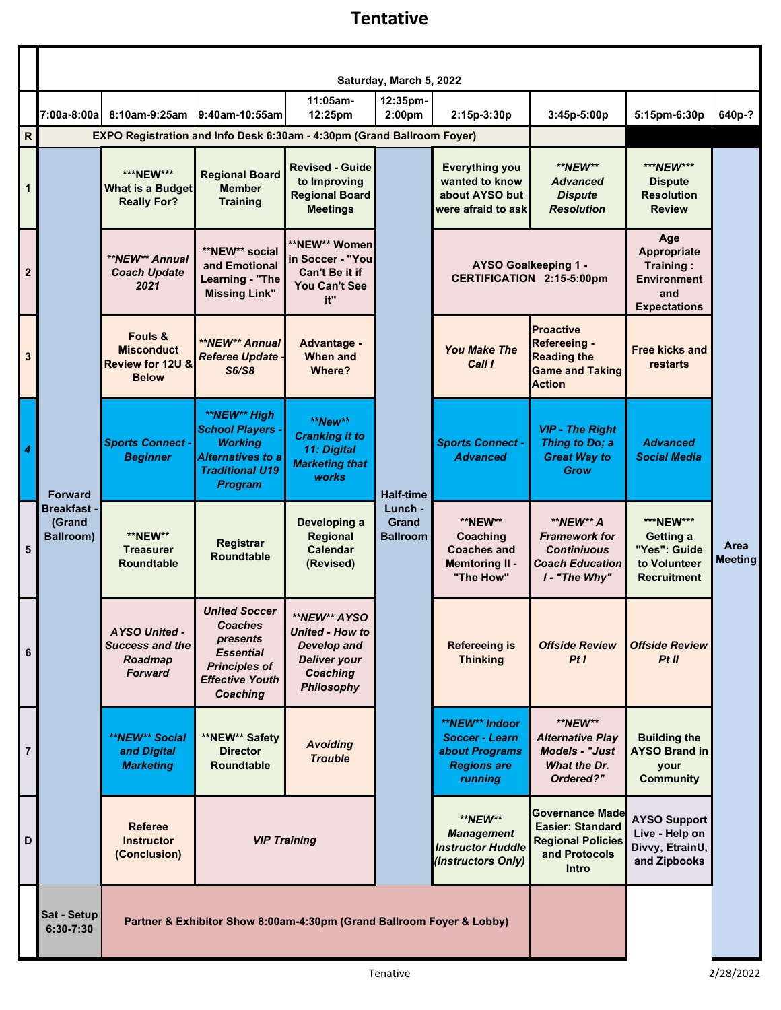## **Tentative**

|                | Saturday, March 5, 2022                         |                                                                             |                                                                                                                                   |                                                                                                                      |                                            |                                                                                            |                                                                                                         |                                                                                     |                        |
|----------------|-------------------------------------------------|-----------------------------------------------------------------------------|-----------------------------------------------------------------------------------------------------------------------------------|----------------------------------------------------------------------------------------------------------------------|--------------------------------------------|--------------------------------------------------------------------------------------------|---------------------------------------------------------------------------------------------------------|-------------------------------------------------------------------------------------|------------------------|
|                | 7:00a-8:00al                                    | 8:10am-9:25am                                                               | 9:40am-10:55am                                                                                                                    | $11:05am -$<br>12:25pm                                                                                               | 12:35pm-<br>2:00 <sub>pm</sub>             | 2:15p-3:30p                                                                                | 3:45p-5:00p                                                                                             | 5:15pm-6:30p                                                                        | 640p-?                 |
| $\mathsf{R}$   |                                                 | EXPO Registration and Info Desk 6:30am - 4:30pm (Grand Ballroom Foyer)      |                                                                                                                                   |                                                                                                                      |                                            |                                                                                            |                                                                                                         |                                                                                     |                        |
| 1              |                                                 | ***NEW***<br><b>What is a Budget</b><br><b>Really For?</b>                  | <b>Regional Board</b><br><b>Member</b><br><b>Training</b>                                                                         | <b>Revised - Guide</b><br>to Improving<br><b>Regional Board</b><br><b>Meetings</b>                                   |                                            | <b>Everything you</b><br>wanted to know<br>about AYSO but<br>were afraid to ask            | **NEW**<br><b>Advanced</b><br><b>Dispute</b><br><b>Resolution</b>                                       | ***NEW***<br><b>Dispute</b><br><b>Resolution</b><br><b>Review</b>                   |                        |
| $\mathbf 2$    |                                                 | **NEW** Annual<br><b>Coach Update</b><br>2021                               | **NEW** social<br>and Emotional<br>Learning - "The<br><b>Missing Link"</b>                                                        | **NEW** Women<br>in Soccer - "You<br>Can't Be it if<br><b>You Can't See</b><br>it"                                   |                                            |                                                                                            | AYSO Goalkeeping 1 -<br><b>CERTIFICATION 2:15-5:00pm</b>                                                | Age<br>Appropriate<br>Training:<br><b>Environment</b><br>and<br><b>Expectations</b> |                        |
| 3              |                                                 | Fouls &<br><b>Misconduct</b><br><b>Review for 12U &amp;</b><br><b>Below</b> | <b>**NEW** Annual</b><br><b>Referee Update -</b><br><b>S6/S8</b>                                                                  | Advantage -<br><b>When and</b><br>Where?                                                                             |                                            | <b>You Make The</b><br>Call I                                                              | <b>Proactive</b><br>Refereeing -<br><b>Reading the</b><br><b>Game and Taking</b><br><b>Action</b>       | <b>Free kicks and</b><br>restarts                                                   |                        |
| 4              | <b>Forward</b>                                  | <b>Sports Connect -</b><br><b>Beginner</b>                                  | **NEW** High<br><b>School Players -</b><br><b>Working</b><br><b>Alternatives to a</b><br><b>Traditional U19</b><br><b>Program</b> | **New**<br><b>Cranking it to</b><br>11: Digital<br><b>Marketing that</b><br>works                                    | <b>Half-time</b>                           | <b>Sports Connect -</b><br><b>Advanced</b>                                                 | <b>VIP - The Right</b><br>Thing to Do; a<br><b>Great Way to</b><br><b>Grow</b>                          | <b>Advanced</b><br><b>Social Media</b>                                              |                        |
| 5              | <b>Breakfast-</b><br>(Grand<br><b>Ballroom)</b> | <b>**NEW**</b><br><b>Treasurer</b><br><b>Roundtable</b>                     | Registrar<br><b>Roundtable</b>                                                                                                    | Developing a<br>Regional<br>Calendar<br>(Revised)                                                                    | Lunch -<br><b>Grand</b><br><b>Ballroom</b> | **NEW**<br>Coaching<br><b>Coaches and</b><br><b>Memtoring II -</b><br>"The How"            | **NEW** A<br><b>Framework for</b><br><b>Continiuous</b><br>Coach Education<br>I - "The Why"             | ***NEW***<br>Getting a<br>"Yes": Guide<br>to Volunteer<br><b>Recruitment</b>        | Area<br><b>Meeting</b> |
| 6              |                                                 | <b>AYSO United -</b><br><b>Success and the</b><br>Roadmap<br><b>Forward</b> | <b>United Soccer</b><br>Coaches<br>presents<br><b>Essential</b><br><b>Principles of</b><br><b>Effective Youth</b><br>Coaching     | **NEW** AYSO<br><b>United - How to</b><br><b>Develop and</b><br><b>Deliver your</b><br>Coaching<br><b>Philosophy</b> |                                            | <b>Refereeing is</b><br><b>Thinking</b>                                                    | <b>Offside Review</b><br>PtI                                                                            | <b>Offside Review</b><br>PtII                                                       |                        |
| $\overline{7}$ |                                                 | **NEW** Social<br>and Digital<br><b>Marketing</b>                           | **NEW** Safety<br><b>Director</b><br>Roundtable                                                                                   | <b>Avoiding</b><br><b>Trouble</b>                                                                                    |                                            | **NEW** Indoor<br><b>Soccer - Learn</b><br>about Programs<br><b>Regions are</b><br>running | **NEW**<br><b>Alternative Play</b><br><b>Models - "Just</b><br>What the Dr.<br>Ordered?"                | <b>Building the</b><br><b>AYSO Brand in</b><br>your<br><b>Community</b>             |                        |
| D              |                                                 | <b>Referee</b><br><b>Instructor</b><br>(Conclusion)                         | <b>VIP Training</b>                                                                                                               |                                                                                                                      |                                            | **NEW**<br><b>Management</b><br><b>Instructor Huddle</b><br>(Instructors Only)             | Governance Made<br><b>Easier: Standard</b><br><b>Regional Policies</b><br>and Protocols<br><b>Intro</b> | <b>AYSO Support</b><br>Live - Help on<br>Divvy, EtrainU,<br>and Zipbooks            |                        |
|                | Sat - Setup<br>6:30-7:30                        | Partner & Exhibitor Show 8:00am-4:30pm (Grand Ballroom Foyer & Lobby)       |                                                                                                                                   |                                                                                                                      |                                            |                                                                                            |                                                                                                         |                                                                                     |                        |